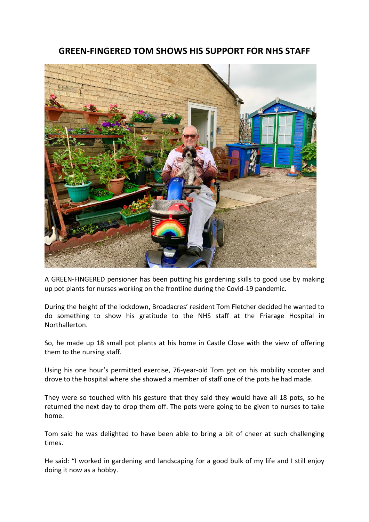## **GREEN-FINGERED TOM SHOWS HIS SUPPORT FOR NHS STAFF**



A GREEN-FINGERED pensioner has been putting his gardening skills to good use by making up pot plants for nurses working on the frontline during the Covid-19 pandemic.

During the height of the lockdown, Broadacres' resident Tom Fletcher decided he wanted to do something to show his gratitude to the NHS staff at the Friarage Hospital in Northallerton.

So, he made up 18 small pot plants at his home in Castle Close with the view of offering them to the nursing staff.

Using his one hour's permitted exercise, 76-year-old Tom got on his mobility scooter and drove to the hospital where she showed a member of staff one of the pots he had made.

They were so touched with his gesture that they said they would have all 18 pots, so he returned the next day to drop them off. The pots were going to be given to nurses to take home.

Tom said he was delighted to have been able to bring a bit of cheer at such challenging times.

He said: "I worked in gardening and landscaping for a good bulk of my life and I still enjoy doing it now as a hobby.